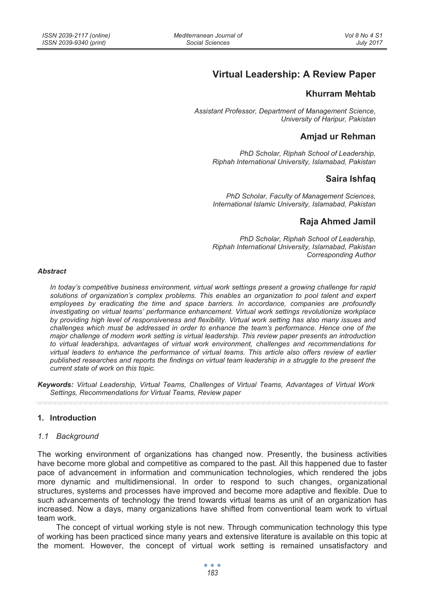# **Virtual Leadership: A Review Paper**

# **Khurram Mehtab**

*Assistant Professor, Department of Management Science, University of Haripur, Pakistan* 

# **Amjad ur Rehman**

*PhD Scholar, Riphah School of Leadership, Riphah International University, Islamabad, Pakistan* 

# **Saira Ishfaq**

*PhD Scholar, Faculty of Management Sciences, International Islamic University, Islamabad, Pakistan* 

# **Raja Ahmed Jamil**

*PhD Scholar, Riphah School of Leadership, Riphah International University, Islamabad, Pakistan Corresponding Author* 

#### *Abstract*

*In today's competitive business environment, virtual work settings present a growing challenge for rapid solutions of organization's complex problems. This enables an organization to pool talent and expert employees by eradicating the time and space barriers. In accordance, companies are profoundly investigating on virtual teams' performance enhancement. Virtual work settings revolutionize workplace by providing high level of responsiveness and flexibility. Virtual work setting has also many issues and challenges which must be addressed in order to enhance the team's performance. Hence one of the major challenge of modern work setting is virtual leadership. This review paper presents an introduction to virtual leaderships, advantages of virtual work environment, challenges and recommendations for virtual leaders to enhance the performance of virtual teams. This article also offers review of earlier published researches and reports the findings on virtual team leadership in a struggle to the present the current state of work on this topic.* 

*Keywords: Virtual Leadership, Virtual Teams, Challenges of Virtual Teams, Advantages of Virtual Work Settings, Recommendations for Virtual Teams, Review paper* 

#### **1. Introduction**

#### *1.1 Background*

The working environment of organizations has changed now. Presently, the business activities have become more global and competitive as compared to the past. All this happened due to faster pace of advancement in information and communication technologies, which rendered the jobs more dynamic and multidimensional. In order to respond to such changes, organizational structures, systems and processes have improved and become more adaptive and flexible. Due to such advancements of technology the trend towards virtual teams as unit of an organization has increased. Now a days, many organizations have shifted from conventional team work to virtual team work.

The concept of virtual working style is not new. Through communication technology this type of working has been practiced since many years and extensive literature is available on this topic at the moment. However, the concept of virtual work setting is remained unsatisfactory and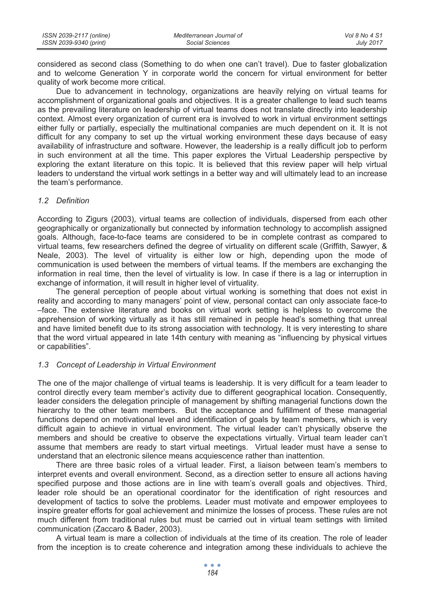| ISSN 2039-2117 (online) | Mediterranean Journal of | Vol 8 No 4 S1    |
|-------------------------|--------------------------|------------------|
| ISSN 2039-9340 (print)  | Social Sciences          | <b>July 2017</b> |

considered as second class (Something to do when one can't travel). Due to faster globalization and to welcome Generation Y in corporate world the concern for virtual environment for better quality of work become more critical.

Due to advancement in technology, organizations are heavily relying on virtual teams for accomplishment of organizational goals and objectives. It is a greater challenge to lead such teams as the prevailing literature on leadership of virtual teams does not translate directly into leadership context. Almost every organization of current era is involved to work in virtual environment settings either fully or partially, especially the multinational companies are much dependent on it. It is not difficult for any company to set up the virtual working environment these days because of easy availability of infrastructure and software. However, the leadership is a really difficult job to perform in such environment at all the time. This paper explores the Virtual Leadership perspective by exploring the extant literature on this topic. It is believed that this review paper will help virtual leaders to understand the virtual work settings in a better way and will ultimately lead to an increase the team's performance.

### *1.2 Definition*

According to Zigurs (2003), virtual teams are collection of individuals, dispersed from each other geographically or organizationally but connected by information technology to accomplish assigned goals. Although, face-to-face teams are considered to be in complete contrast as compared to virtual teams, few researchers defined the degree of virtuality on different scale (Griffith, Sawyer, & Neale, 2003). The level of virtuality is either low or high, depending upon the mode of communication is used between the members of virtual teams. If the members are exchanging the information in real time, then the level of virtuality is low. In case if there is a lag or interruption in exchange of information, it will result in higher level of virtuality.

The general perception of people about virtual working is something that does not exist in reality and according to many managers' point of view, personal contact can only associate face-to –face. The extensive literature and books on virtual work setting is helpless to overcome the apprehension of working virtually as it has still remained in people head's something that unreal and have limited benefit due to its strong association with technology. It is very interesting to share that the word virtual appeared in late 14th century with meaning as "influencing by physical virtues or capabilities".

#### *1.3 Concept of Leadership in Virtual Environment*

The one of the major challenge of virtual teams is leadership. It is very difficult for a team leader to control directly every team member's activity due to different geographical location. Consequently, leader considers the delegation principle of management by shifting managerial functions down the hierarchy to the other team members. But the acceptance and fulfillment of these managerial functions depend on motivational level and identification of goals by team members, which is very difficult again to achieve in virtual environment. The virtual leader can't physically observe the members and should be creative to observe the expectations virtually. Virtual team leader can't assume that members are ready to start virtual meetings. Virtual leader must have a sense to understand that an electronic silence means acquiescence rather than inattention.

There are three basic roles of a virtual leader. First, a liaison between team's members to interpret events and overall environment. Second, as a direction setter to ensure all actions having specified purpose and those actions are in line with team's overall goals and objectives. Third, leader role should be an operational coordinator for the identification of right resources and development of tactics to solve the problems. Leader must motivate and empower employees to inspire greater efforts for goal achievement and minimize the losses of process. These rules are not much different from traditional rules but must be carried out in virtual team settings with limited communication (Zaccaro & Bader, 2003).

A virtual team is mare a collection of individuals at the time of its creation. The role of leader from the inception is to create coherence and integration among these individuals to achieve the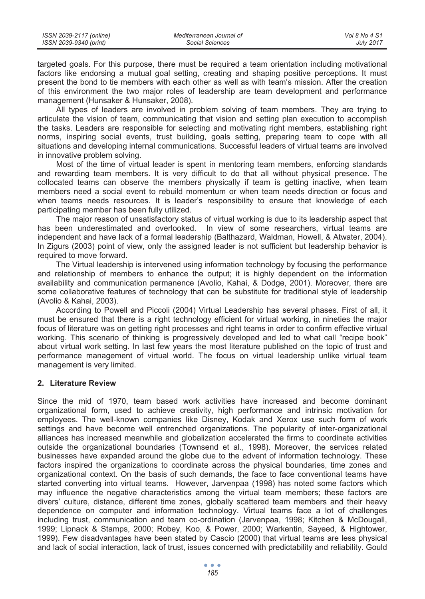targeted goals. For this purpose, there must be required a team orientation including motivational factors like endorsing a mutual goal setting, creating and shaping positive perceptions. It must present the bond to tie members with each other as well as with team's mission. After the creation of this environment the two major roles of leadership are team development and performance management (Hunsaker & Hunsaker, 2008).

All types of leaders are involved in problem solving of team members. They are trying to articulate the vision of team, communicating that vision and setting plan execution to accomplish the tasks. Leaders are responsible for selecting and motivating right members, establishing right norms, inspiring social events, trust building, goals setting, preparing team to cope with all situations and developing internal communications. Successful leaders of virtual teams are involved in innovative problem solving.

Most of the time of virtual leader is spent in mentoring team members, enforcing standards and rewarding team members. It is very difficult to do that all without physical presence. The collocated teams can observe the members physically if team is getting inactive, when team members need a social event to rebuild momentum or when team needs direction or focus and when teams needs resources. It is leader's responsibility to ensure that knowledge of each participating member has been fully utilized.

The major reason of unsatisfactory status of virtual working is due to its leadership aspect that has been underestimated and overlooked. In view of some researchers, virtual teams are independent and have lack of a formal leadership (Balthazard, Waldman, Howell, & Atwater, 2004). In Zigurs (2003) point of view, only the assigned leader is not sufficient but leadership behavior is required to move forward.

The Virtual leadership is intervened using information technology by focusing the performance and relationship of members to enhance the output; it is highly dependent on the information availability and communication permanence (Avolio, Kahai, & Dodge, 2001). Moreover, there are some collaborative features of technology that can be substitute for traditional style of leadership (Avolio & Kahai, 2003).

According to Powell and Piccoli (2004) Virtual Leadership has several phases. First of all, it must be ensured that there is a right technology efficient for virtual working, in nineties the major focus of literature was on getting right processes and right teams in order to confirm effective virtual working. This scenario of thinking is progressively developed and led to what call "recipe book" about virtual work setting. In last few years the most literature published on the topic of trust and performance management of virtual world. The focus on virtual leadership unlike virtual team management is very limited.

## **2. Literature Review**

Since the mid of 1970, team based work activities have increased and become dominant organizational form, used to achieve creativity, high performance and intrinsic motivation for employees. The well-known companies like Disney, Kodak and Xerox use such form of work settings and have become well entrenched organizations. The popularity of inter-organizational alliances has increased meanwhile and globalization accelerated the firms to coordinate activities outside the organizational boundaries (Townsend et al., 1998). Moreover, the services related businesses have expanded around the globe due to the advent of information technology. These factors inspired the organizations to coordinate across the physical boundaries, time zones and organizational context. On the basis of such demands, the face to face conventional teams have started converting into virtual teams. However, Jarvenpaa (1998) has noted some factors which may influence the negative characteristics among the virtual team members; these factors are divers' culture, distance, different time zones, globally scattered team members and their heavy dependence on computer and information technology. Virtual teams face a lot of challenges including trust, communication and team co-ordination (Jarvenpaa, 1998; Kitchen & McDougall, 1999; Lipnack & Stamps, 2000; Robey, Koo, & Power, 2000; Warkentin, Sayeed, & Hightower, 1999). Few disadvantages have been stated by Cascio (2000) that virtual teams are less physical and lack of social interaction, lack of trust, issues concerned with predictability and reliability. Gould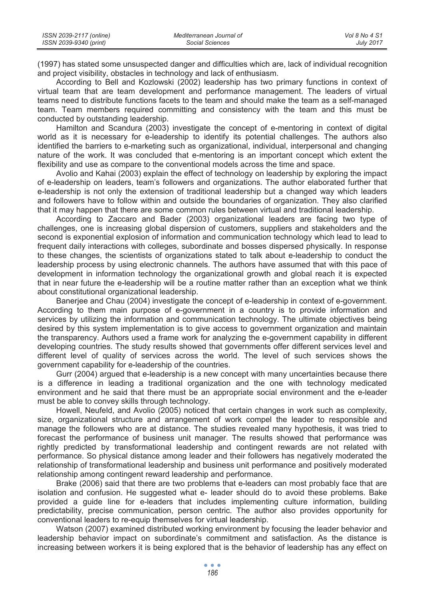| ISSN 2039-2117 (online) | Mediterranean Journal of | Vol 8 No 4 S1    |
|-------------------------|--------------------------|------------------|
| ISSN 2039-9340 (print)  | Social Sciences          | <b>July 2017</b> |

(1997) has stated some unsuspected danger and difficulties which are, lack of individual recognition and project visibility, obstacles in technology and lack of enthusiasm.

According to Bell and Kozlowski (2002) leadership has two primary functions in context of virtual team that are team development and performance management. The leaders of virtual teams need to distribute functions facets to the team and should make the team as a self-managed team. Team members required committing and consistency with the team and this must be conducted by outstanding leadership.

Hamilton and Scandura (2003) investigate the concept of e-mentoring in context of digital world as it is necessary for e-leadership to identify its potential challenges. The authors also identified the barriers to e-marketing such as organizational, individual, interpersonal and changing nature of the work. It was concluded that e-mentoring is an important concept which extent the flexibility and use as compare to the conventional models across the time and space.

Avolio and Kahai (2003) explain the effect of technology on leadership by exploring the impact of e-leadership on leaders, team's followers and organizations. The author elaborated further that e-leadership is not only the extension of traditional leadership but a changed way which leaders and followers have to follow within and outside the boundaries of organization. They also clarified that it may happen that there are some common rules between virtual and traditional leadership.

According to Zaccaro and Bader (2003) organizational leaders are facing two type of challenges, one is increasing global dispersion of customers, suppliers and stakeholders and the second is exponential explosion of information and communication technology which lead to lead to frequent daily interactions with colleges, subordinate and bosses dispersed physically. In response to these changes, the scientists of organizations stated to talk about e-leadership to conduct the leadership process by using electronic channels. The authors have assumed that with this pace of development in information technology the organizational growth and global reach it is expected that in near future the e-leadership will be a routine matter rather than an exception what we think about constitutional organizational leadership.

Banerjee and Chau (2004) investigate the concept of e-leadership in context of e-government. According to them main purpose of e-government in a country is to provide information and services by utilizing the information and communication technology. The ultimate objectives being desired by this system implementation is to give access to government organization and maintain the transparency. Authors used a frame work for analyzing the e-government capability in different developing countries. The study results showed that governments offer different services level and different level of quality of services across the world. The level of such services shows the government capability for e-leadership of the countries.

Gurr (2004) argued that e-leadership is a new concept with many uncertainties because there is a difference in leading a traditional organization and the one with technology medicated environment and he said that there must be an appropriate social environment and the e-leader must be able to convey skills through technology.

Howell, Neufeld, and Avolio (2005) noticed that certain changes in work such as complexity, size, organizational structure and arrangement of work compel the leader to responsible and manage the followers who are at distance. The studies revealed many hypothesis, it was tried to forecast the performance of business unit manager. The results showed that performance was rightly predicted by transformational leadership and contingent rewards are not related with performance. So physical distance among leader and their followers has negatively moderated the relationship of transformational leadership and business unit performance and positively moderated relationship among contingent reward leadership and performance.

Brake (2006) said that there are two problems that e-leaders can most probably face that are isolation and confusion. He suggested what e- leader should do to avoid these problems. Bake provided a guide line for e-leaders that includes implementing culture information, building predictability, precise communication, person centric. The author also provides opportunity for conventional leaders to re-equip themselves for virtual leadership.

Watson (2007) examined distributed working environment by focusing the leader behavior and leadership behavior impact on subordinate's commitment and satisfaction. As the distance is increasing between workers it is being explored that is the behavior of leadership has any effect on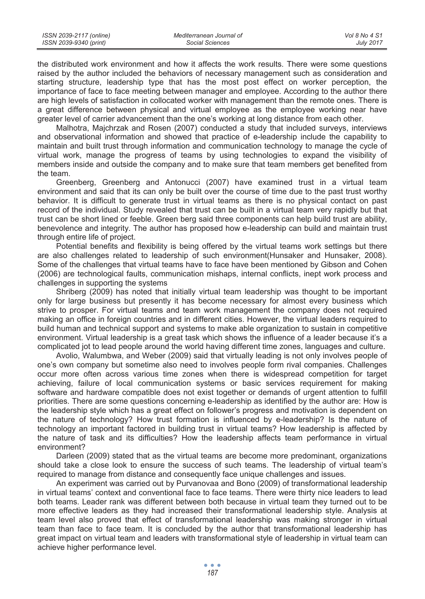| ISSN 2039-2117 (online) | Mediterranean Journal of | Vol 8 No 4 S1    |
|-------------------------|--------------------------|------------------|
| ISSN 2039-9340 (print)  | Social Sciences          | <b>July 2017</b> |

the distributed work environment and how it affects the work results. There were some questions raised by the author included the behaviors of necessary management such as consideration and starting structure, leadership type that has the most post effect on worker perception, the importance of face to face meeting between manager and employee. According to the author there are high levels of satisfaction in collocated worker with management than the remote ones. There is a great difference between physical and virtual employee as the employee working near have greater level of carrier advancement than the one's working at long distance from each other.

Malhotra, Majchrzak and Rosen (2007) conducted a study that included surveys, interviews and observational information and showed that practice of e-leadership include the capability to maintain and built trust through information and communication technology to manage the cycle of virtual work, manage the progress of teams by using technologies to expand the visibility of members inside and outside the company and to make sure that team members get benefited from the team.

Greenberg, Greenberg and Antonucci (2007) have examined trust in a virtual team environment and said that its can only be built over the course of time due to the past trust worthy behavior. It is difficult to generate trust in virtual teams as there is no physical contact on past record of the individual. Study revealed that trust can be built in a virtual team very rapidly but that trust can be short lined or feeble. Green berg said three components can help build trust are ability, benevolence and integrity. The author has proposed how e-leadership can build and maintain trust through entire life of project.

Potential benefits and flexibility is being offered by the virtual teams work settings but there are also challenges related to leadership of such environment(Hunsaker and Hunsaker, 2008). Some of the challenges that virtual teams have to face have been mentioned by Gibson and Cohen (2006) are technological faults, communication mishaps, internal conflicts, inept work process and challenges in supporting the systems

Shriberg (2009) has noted that initially virtual team leadership was thought to be important only for large business but presently it has become necessary for almost every business which strive to prosper. For virtual teams and team work management the company does not required making an office in foreign countries and in different cities. However, the virtual leaders required to build human and technical support and systems to make able organization to sustain in competitive environment. Virtual leadership is a great task which shows the influence of a leader because it's a complicated jot to lead people around the world having different time zones, languages and culture.

Avolio, Walumbwa, and Weber (2009) said that virtually leading is not only involves people of one's own company but sometime also need to involves people form rival companies. Challenges occur more often across various time zones when there is widespread competition for target achieving, failure of local communication systems or basic services requirement for making software and hardware compatible does not exist together or demands of urgent attention to fulfill priorities. There are some questions concerning e-leadership as identified by the author are: How is the leadership style which has a great effect on follower's progress and motivation is dependent on the nature of technology? How trust formation is influenced by e-leadership? Is the nature of technology an important factored in building trust in virtual teams? How leadership is affected by the nature of task and its difficulties? How the leadership affects team performance in virtual environment?

Darleen (2009) stated that as the virtual teams are become more predominant, organizations should take a close look to ensure the success of such teams. The leadership of virtual team's required to manage from distance and consequently face unique challenges and issues.

An experiment was carried out by Purvanovaa and Bono (2009) of transformational leadership in virtual teams' context and conventional face to face teams. There were thirty nice leaders to lead both teams. Leader rank was different between both because in virtual team they turned out to be more effective leaders as they had increased their transformational leadership style. Analysis at team level also proved that effect of transformational leadership was making stronger in virtual team than face to face team. It is concluded by the author that transformational leadership has great impact on virtual team and leaders with transformational style of leadership in virtual team can achieve higher performance level.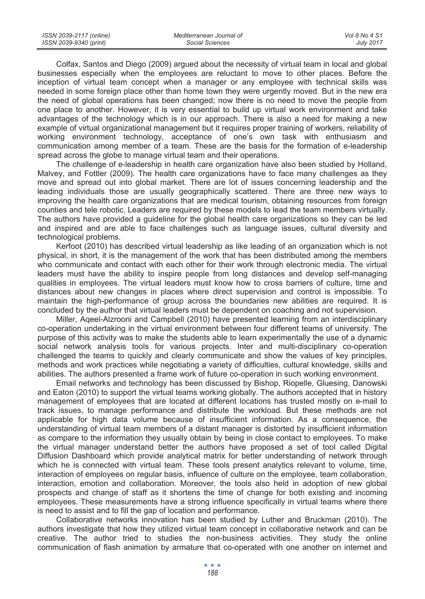| ISSN 2039-2117 (online) | Mediterranean Journal of | Vol 8 No 4 S1    |
|-------------------------|--------------------------|------------------|
| ISSN 2039-9340 (print)  | Social Sciences          | <b>July 2017</b> |

Colfax, Santos and Diego (2009) argued about the necessity of virtual team in local and global businesses especially when the employees are reluctant to move to other places. Before the inception of virtual team concept when a manager or any employee with technical skills was needed in some foreign place other than home town they were urgently moved. But in the new era the need of global operations has been changed; now there is no need to move the people from one place to another. However, it is very essential to build up virtual work environment and take advantages of the technology which is in our approach. There is also a need for making a new example of virtual organizational management but it requires proper training of workers, reliability of working environment technology, acceptance of one's own task with enthusiasm and communication among member of a team. These are the basis for the formation of e-leadership spread across the globe to manage virtual team and their operations.

The challenge of e-leadership in health care organization have also been studied by Holland, Malvey, and Fottler (2009). The health care organizations have to face many challenges as they move and spread out into global market. There are lot of issues concerning leadership and the leading individuals those are usually geographically scattered. There are three new ways to improving the health care organizations that are medical tourism, obtaining resources from foreign counties and tele robotic. Leaders are required by these models to lead the team members virtually. The authors have provided a guideline for the global health care organizations so they can be led and inspired and are able to face challenges such as language issues, cultural diversity and technological problems.

Kerfoot (2010) has described virtual leadership as like leading of an organization which is not physical, in short, it is the management of the work that has been distributed among the members who communicate and contact with each other for their work through electronic media. The virtual leaders must have the ability to inspire people from long distances and develop self-managing qualities in employees. The virtual leaders must know how to cross barriers of culture, time and distances about new changes in places where direct supervision and control is impossible. To maintain the high-performance of group across the boundaries new abilities are required. It is concluded by the author that virtual leaders must be dependent on coaching and not supervision.

Miller, Aqeel-Alzrooni and Campbell (2010) have presented learning from an interdisciplinary co-operation undertaking in the virtual environment between four different teams of university. The purpose of this activity was to make the students able to learn experimentally the use of a dynamic social network analysis tools for various projects. Inter and multi-disciplinary co-operation challenged the teams to quickly and clearly communicate and show the values of key principles, methods and work practices while negotiating a variety of difficulties, cultural knowledge, skills and abilities. The authors presented a frame work of future co-operation in such working environment.

Email networks and technology has been discussed by Bishop, Riopelle, Gluesing, Danowski and Eaton (2010) to support the virtual teams working globally. The authors accepted that in history management of employees that are located at different locations has trusted mostly on e-mail to track issues, to manage performance and distribute the workload. But these methods are not applicable for high data volume because of insufficient information. As a consequence, the understanding of virtual team members of a distant manager is distorted by insufficient information as compare to the information they usually obtain by being in close contact to employees. To make the virtual manager understand better the authors have proposed a set of tool called Digital Diffusion Dashboard which provide analytical matrix for better understanding of network through which he is connected with virtual team. These tools present analytics relevant to volume, time, interaction of employees on regular basis, influence of culture on the employee, team collaboration, interaction, emotion and collaboration. Moreover, the tools also held in adoption of new global prospects and change of staff as it shortens the time of change for both existing and incoming employees. These measurements have a strong influence specifically in virtual teams where there is need to assist and to fill the gap of location and performance.

Collaborative networks innovation has been studied by Luther and Bruckman (2010). The authors investigate that how they utilized virtual team concept in collaborative network and can be creative. The author tried to studies the non-business activities. They study the online communication of flash animation by armature that co-operated with one another on internet and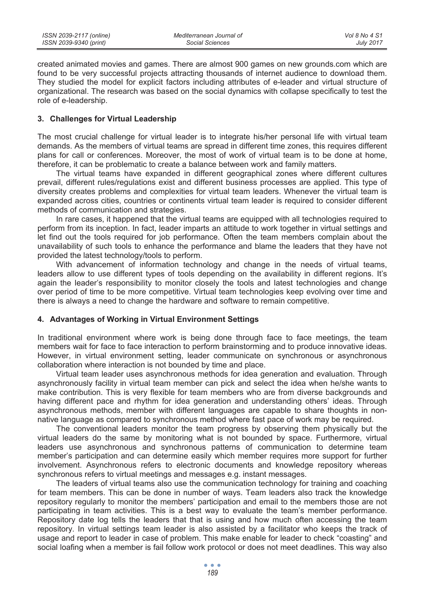created animated movies and games. There are almost 900 games on new grounds.com which are found to be very successful projects attracting thousands of internet audience to download them. They studied the model for explicit factors including attributes of e-leader and virtual structure of organizational. The research was based on the social dynamics with collapse specifically to test the role of e-leadership.

### **3. Challenges for Virtual Leadership**

The most crucial challenge for virtual leader is to integrate his/her personal life with virtual team demands. As the members of virtual teams are spread in different time zones, this requires different plans for call or conferences. Moreover, the most of work of virtual team is to be done at home, therefore, it can be problematic to create a balance between work and family matters.

The virtual teams have expanded in different geographical zones where different cultures prevail, different rules/regulations exist and different business processes are applied. This type of diversity creates problems and complexities for virtual team leaders. Whenever the virtual team is expanded across cities, countries or continents virtual team leader is required to consider different methods of communication and strategies.

In rare cases, it happened that the virtual teams are equipped with all technologies required to perform from its inception. In fact, leader imparts an attitude to work together in virtual settings and let find out the tools required for job performance. Often the team members complain about the unavailability of such tools to enhance the performance and blame the leaders that they have not provided the latest technology/tools to perform.

With advancement of information technology and change in the needs of virtual teams, leaders allow to use different types of tools depending on the availability in different regions. It's again the leader's responsibility to monitor closely the tools and latest technologies and change over period of time to be more competitive. Virtual team technologies keep evolving over time and there is always a need to change the hardware and software to remain competitive.

## **4. Advantages of Working in Virtual Environment Settings**

In traditional environment where work is being done through face to face meetings, the team members wait for face to face interaction to perform brainstorming and to produce innovative ideas. However, in virtual environment setting, leader communicate on synchronous or asynchronous collaboration where interaction is not bounded by time and place.

Virtual team leader uses asynchronous methods for idea generation and evaluation. Through asynchronously facility in virtual team member can pick and select the idea when he/she wants to make contribution. This is very flexible for team members who are from diverse backgrounds and having different pace and rhythm for idea generation and understanding others' ideas. Through asynchronous methods, member with different languages are capable to share thoughts in nonnative language as compared to synchronous method where fast pace of work may be required.

The conventional leaders monitor the team progress by observing them physically but the virtual leaders do the same by monitoring what is not bounded by space. Furthermore, virtual leaders use asynchronous and synchronous patterns of communication to determine team member's participation and can determine easily which member requires more support for further involvement. Asynchronous refers to electronic documents and knowledge repository whereas synchronous refers to virtual meetings and messages e.g. instant messages.

The leaders of virtual teams also use the communication technology for training and coaching for team members. This can be done in number of ways. Team leaders also track the knowledge repository regularly to monitor the members' participation and email to the members those are not participating in team activities. This is a best way to evaluate the team's member performance. Repository date log tells the leaders that that is using and how much often accessing the team repository. In virtual settings team leader is also assisted by a facilitator who keeps the track of usage and report to leader in case of problem. This make enable for leader to check "coasting" and social loafing when a member is fail follow work protocol or does not meet deadlines. This way also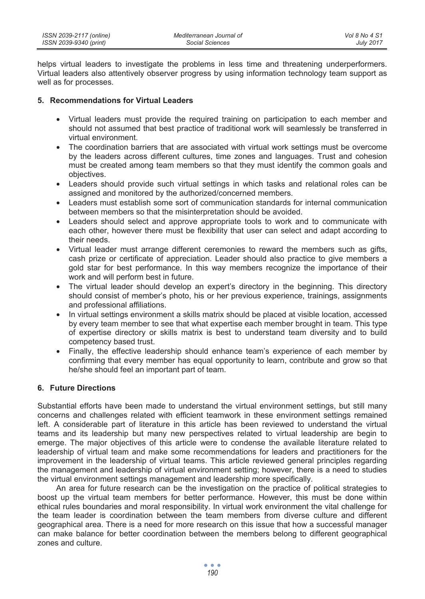helps virtual leaders to investigate the problems in less time and threatening underperformers. Virtual leaders also attentively observer progress by using information technology team support as well as for processes.

## **5. Recommendations for Virtual Leaders**

- Virtual leaders must provide the required training on participation to each member and should not assumed that best practice of traditional work will seamlessly be transferred in virtual environment.
- The coordination barriers that are associated with virtual work settings must be overcome by the leaders across different cultures, time zones and languages. Trust and cohesion must be created among team members so that they must identify the common goals and objectives.
- Leaders should provide such virtual settings in which tasks and relational roles can be assigned and monitored by the authorized/concerned members.
- Leaders must establish some sort of communication standards for internal communication between members so that the misinterpretation should be avoided.
- Leaders should select and approve appropriate tools to work and to communicate with each other, however there must be flexibility that user can select and adapt according to their needs.
- Virtual leader must arrange different ceremonies to reward the members such as gifts, cash prize or certificate of appreciation. Leader should also practice to give members a gold star for best performance. In this way members recognize the importance of their work and will perform best in future.
- The virtual leader should develop an expert's directory in the beginning. This directory should consist of member's photo, his or her previous experience, trainings, assignments and professional affiliations.
- In virtual settings environment a skills matrix should be placed at visible location, accessed by every team member to see that what expertise each member brought in team. This type of expertise directory or skills matrix is best to understand team diversity and to build competency based trust.
- Finally, the effective leadership should enhance team's experience of each member by confirming that every member has equal opportunity to learn, contribute and grow so that he/she should feel an important part of team.

# **6. Future Directions**

Substantial efforts have been made to understand the virtual environment settings, but still many concerns and challenges related with efficient teamwork in these environment settings remained left. A considerable part of literature in this article has been reviewed to understand the virtual teams and its leadership but many new perspectives related to virtual leadership are begin to emerge. The major objectives of this article were to condense the available literature related to leadership of virtual team and make some recommendations for leaders and practitioners for the improvement in the leadership of virtual teams. This article reviewed general principles regarding the management and leadership of virtual environment setting; however, there is a need to studies the virtual environment settings management and leadership more specifically.

An area for future research can be the investigation on the practice of political strategies to boost up the virtual team members for better performance. However, this must be done within ethical rules boundaries and moral responsibility. In virtual work environment the vital challenge for the team leader is coordination between the team members from diverse culture and different geographical area. There is a need for more research on this issue that how a successful manager can make balance for better coordination between the members belong to different geographical zones and culture.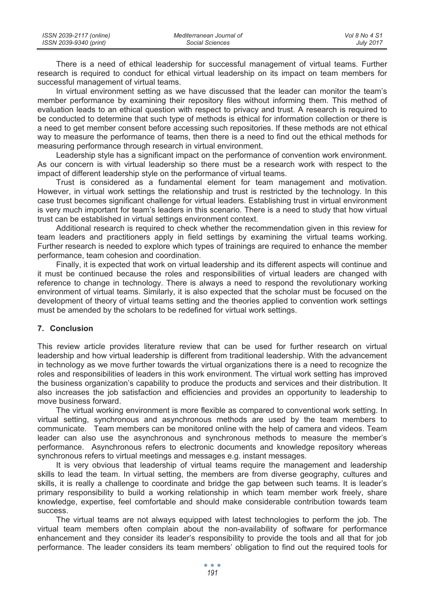| ISSN 2039-2117 (online) | Mediterranean Journal of | Vol 8 No 4 S1    |
|-------------------------|--------------------------|------------------|
| ISSN 2039-9340 (print)  | Social Sciences          | <b>July 2017</b> |

There is a need of ethical leadership for successful management of virtual teams. Further research is required to conduct for ethical virtual leadership on its impact on team members for successful management of virtual teams.

In virtual environment setting as we have discussed that the leader can monitor the team's member performance by examining their repository files without informing them. This method of evaluation leads to an ethical question with respect to privacy and trust. A research is required to be conducted to determine that such type of methods is ethical for information collection or there is a need to get member consent before accessing such repositories. If these methods are not ethical way to measure the performance of teams, then there is a need to find out the ethical methods for measuring performance through research in virtual environment.

Leadership style has a significant impact on the performance of convention work environment. As our concern is with virtual leadership so there must be a research work with respect to the impact of different leadership style on the performance of virtual teams.

Trust is considered as a fundamental element for team management and motivation. However, in virtual work settings the relationship and trust is restricted by the technology. In this case trust becomes significant challenge for virtual leaders. Establishing trust in virtual environment is very much important for team's leaders in this scenario. There is a need to study that how virtual trust can be established in virtual settings environment context.

Additional research is required to check whether the recommendation given in this review for team leaders and practitioners apply in field settings by examining the virtual teams working. Further research is needed to explore which types of trainings are required to enhance the member performance, team cohesion and coordination.

Finally, it is expected that work on virtual leadership and its different aspects will continue and it must be continued because the roles and responsibilities of virtual leaders are changed with reference to change in technology. There is always a need to respond the revolutionary working environment of virtual teams. Similarly, it is also expected that the scholar must be focused on the development of theory of virtual teams setting and the theories applied to convention work settings must be amended by the scholars to be redefined for virtual work settings.

#### **7. Conclusion**

This review article provides literature review that can be used for further research on virtual leadership and how virtual leadership is different from traditional leadership. With the advancement in technology as we move further towards the virtual organizations there is a need to recognize the roles and responsibilities of leaders in this work environment. The virtual work setting has improved the business organization's capability to produce the products and services and their distribution. It also increases the job satisfaction and efficiencies and provides an opportunity to leadership to move business forward.

The virtual working environment is more flexible as compared to conventional work setting. In virtual setting, synchronous and asynchronous methods are used by the team members to communicate. Team members can be monitored online with the help of camera and videos. Team leader can also use the asynchronous and synchronous methods to measure the member's performance. Asynchronous refers to electronic documents and knowledge repository whereas synchronous refers to virtual meetings and messages e.g. instant messages.

It is very obvious that leadership of virtual teams require the management and leadership skills to lead the team. In virtual setting, the members are from diverse geography, cultures and skills, it is really a challenge to coordinate and bridge the gap between such teams. It is leader's primary responsibility to build a working relationship in which team member work freely, share knowledge, expertise, feel comfortable and should make considerable contribution towards team success.

The virtual teams are not always equipped with latest technologies to perform the job. The virtual team members often complain about the non-availability of software for performance enhancement and they consider its leader's responsibility to provide the tools and all that for job performance. The leader considers its team members' obligation to find out the required tools for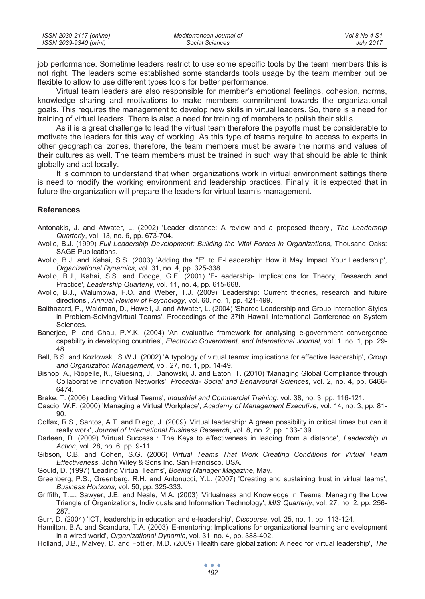| ISSN 2039-2117 (online) | Mediterranean Journal of | Vol 8 No 4 S1 |
|-------------------------|--------------------------|---------------|
| ISSN 2039-9340 (print)  | Social Sciences          | July 2017     |

job performance. Sometime leaders restrict to use some specific tools by the team members this is not right. The leaders some established some standards tools usage by the team member but be flexible to allow to use different types tools for better performance.

Virtual team leaders are also responsible for member's emotional feelings, cohesion, norms, knowledge sharing and motivations to make members commitment towards the organizational goals. This requires the management to develop new skills in virtual leaders. So, there is a need for training of virtual leaders. There is also a need for training of members to polish their skills.

As it is a great challenge to lead the virtual team therefore the payoffs must be considerable to motivate the leaders for this way of working. As this type of teams require to access to experts in other geographical zones, therefore, the team members must be aware the norms and values of their cultures as well. The team members must be trained in such way that should be able to think globally and act locally.

It is common to understand that when organizations work in virtual environment settings there is need to modify the working environment and leadership practices. Finally, it is expected that in future the organization will prepare the leaders for virtual team's management.

## **References**

- Antonakis, J. and Atwater, L. (2002) 'Leader distance: A review and a proposed theory', *The Leadership Quarterly*, vol. 13, no. 6, pp. 673-704.
- Avolio, B.J. (1999) *Full Leadership Development: Building the Vital Forces in Organizations*, Thousand Oaks: SAGE Publications.
- Avolio, B.J. and Kahai, S.S. (2003) 'Adding the "E" to E-Leadership: How it May Impact Your Leadership', *Organizational Dynamics*, vol. 31, no. 4, pp. 325-338.
- Avolio, B.J., Kahai, S.S. and Dodge, G.E. (2001) 'E-Leadership- Implications for Theory, Research and Practice', *Leadership Quarterly*, vol. 11, no. 4, pp. 615-668.
- Avolio, B.J., Walumbwa, F.O. and Weber, T.J. (2009) 'Leadership: Current theories, research and future directions', *Annual Review of Psychology*, vol. 60, no. 1, pp. 421-499.
- Balthazard, P., Waldman, D., Howell, J. and Atwater, L. (2004) 'Shared Leadership and Group Interaction Styles in Problem-SolvingVirtual Teams', Proceedings of the 37th Hawaii International Conference on System Sciences.
- Banerjee, P. and Chau, P.Y.K. (2004) 'An evaluative framework for analysing e-government convergence capability in developing countries', *Electronic Government, and International Journal*, vol. 1, no. 1, pp. 29- 48.
- Bell, B.S. and Kozlowski, S.W.J. (2002) 'A typology of virtual teams: implications for effective leadership', *Group and Organization Management*, vol. 27, no. 1, pp. 14-49.
- Bishop, A., Riopelle, K., Gluesing, J., Danowski, J. and Eaton, T. (2010) 'Managing Global Compliance through Collaborative Innovation Networks', *Procedia- Social and Behaivoural Sciences*, vol. 2, no. 4, pp. 6466- 6474.
- Brake, T. (2006) 'Leading Virtual Teams', *Industrial and Commercial Training*, vol. 38, no. 3, pp. 116-121.
- Cascio, W.F. (2000) 'Managing a Virtual Workplace', *Academy of Management Executive*, vol. 14, no. 3, pp. 81- 90.
- Colfax, R.S., Santos, A.T. and Diego, J. (2009) 'Virtual leadership: A green possibility in critical times but can it really work', *Journal of International Business Research*, vol. 8, no. 2, pp. 133-139.
- Darleen, D. (2009) 'Virtual Success : The Keys to effectiveness in leading from a distance', *Leadership in Action*, vol. 28, no. 6, pp. 9-11.
- Gibson, C.B. and Cohen, S.G. (2006) *Virtual Teams That Work Creating Conditions for Virtual Team Effectiveness*, John Wiley & Sons Inc. San Francisco. USA.
- Gould, D. (1997) 'Leading Virtual Teams', *Boeing Manager Magazine*, May.
- Greenberg, P.S., Greenberg, R.H. and Antonucci, Y.L. (2007) 'Creating and sustaining trust in virtual teams', *Business Horizons*, vol. 50, pp. 325-333.
- Griffith, T.L., Sawyer, J.E. and Neale, M.A. (2003) 'Virtualness and Knowledge in Teams: Managing the Love Triangle of Organizations, Individuals and Information Technology', *MIS Quarterly*, vol. 27, no. 2, pp. 256- 287.
- Gurr, D. (2004) 'ICT, leadership in education and e-leadership', *Discourse*, vol. 25, no. 1, pp. 113-124.
- Hamilton, B.A. and Scandura, T.A. (2003) 'E-mentoring: Implications for organizational learning and evelopment in a wired world', *Organizational Dynamic*, vol. 31, no. 4, pp. 388-402.
- Holland, J.B., Malvey, D. and Fottler, M.D. (2009) 'Health care globalization: A need for virtual leadership', *The*